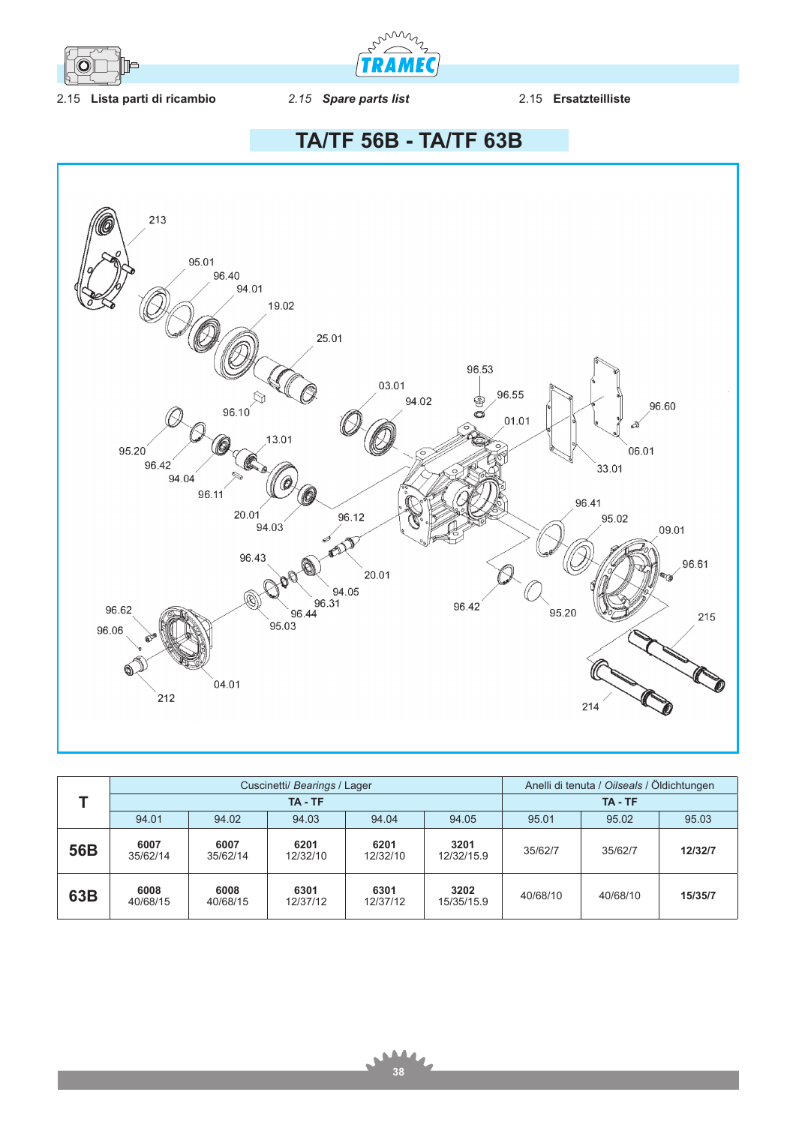

min **TRAME** 

2.15 **Lista parti di ricambio** *2.15 Spare parts list* 2.15 **Ersatzteilliste**

**TA/TF 56B - TA/TF 63B**



|     |                  |                  | Cuscinetti/ Bearings / Lager | Anelli di tenuta / Oilseals / Öldichtungen |                    |          |          |         |
|-----|------------------|------------------|------------------------------|--------------------------------------------|--------------------|----------|----------|---------|
|     |                  |                  | TA - TF                      | TA - TF                                    |                    |          |          |         |
|     | 94.01            | 94.02            | 94.03                        | 94.04                                      | 94.05              | 95.01    | 95.02    | 95.03   |
| 56B | 6007<br>35/62/14 | 6007<br>35/62/14 | 6201<br>12/32/10             | 6201<br>12/32/10                           | 3201<br>12/32/15.9 | 35/62/7  | 35/62/7  | 12/32/7 |
| 63B | 6008<br>40/68/15 | 6008<br>40/68/15 | 6301<br>12/37/12             | 6301<br>12/37/12                           | 3202<br>15/35/15.9 | 40/68/10 | 40/68/10 | 15/35/7 |

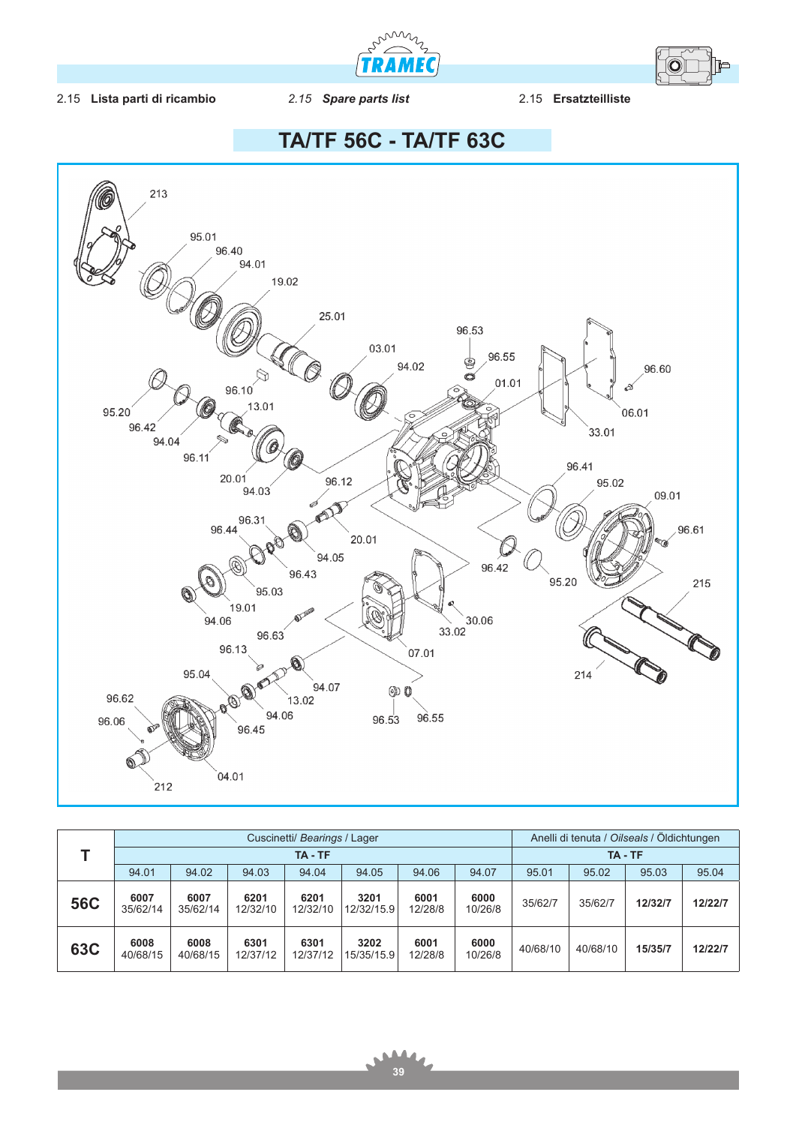



## 2.15 **Lista parti di ricambio** *2.15 Spare parts list* 2.15 **Ersatzteilliste**





|            | Cuscinetti/ Bearings / Lager |                  |                  |                  |                    |                 |                 | Anelli di tenuta / Oilseals / Öldichtungen |          |         |         |
|------------|------------------------------|------------------|------------------|------------------|--------------------|-----------------|-----------------|--------------------------------------------|----------|---------|---------|
|            | TA - TF                      |                  |                  |                  |                    |                 |                 | TA - TF                                    |          |         |         |
|            | 94.01                        | 94.02            | 94.03            | 94.04            | 94.05              | 94.06           | 94.07           | 95.01                                      | 95.02    | 95.03   | 95.04   |
| <b>56C</b> | 6007<br>35/62/14             | 6007<br>35/62/14 | 6201<br>12/32/10 | 6201<br>12/32/10 | 3201<br>12/32/15.9 | 6001<br>12/28/8 | 6000<br>10/26/8 | 35/62/7                                    | 35/62/7  | 12/32/7 | 12/22/7 |
| <b>63C</b> | 6008<br>40/68/15             | 6008<br>40/68/15 | 6301<br>12/37/12 | 6301<br>12/37/12 | 3202<br>15/35/15.9 | 6001<br>12/28/8 | 6000<br>10/26/8 | 40/68/10                                   | 40/68/10 | 15/35/7 | 12/22/7 |

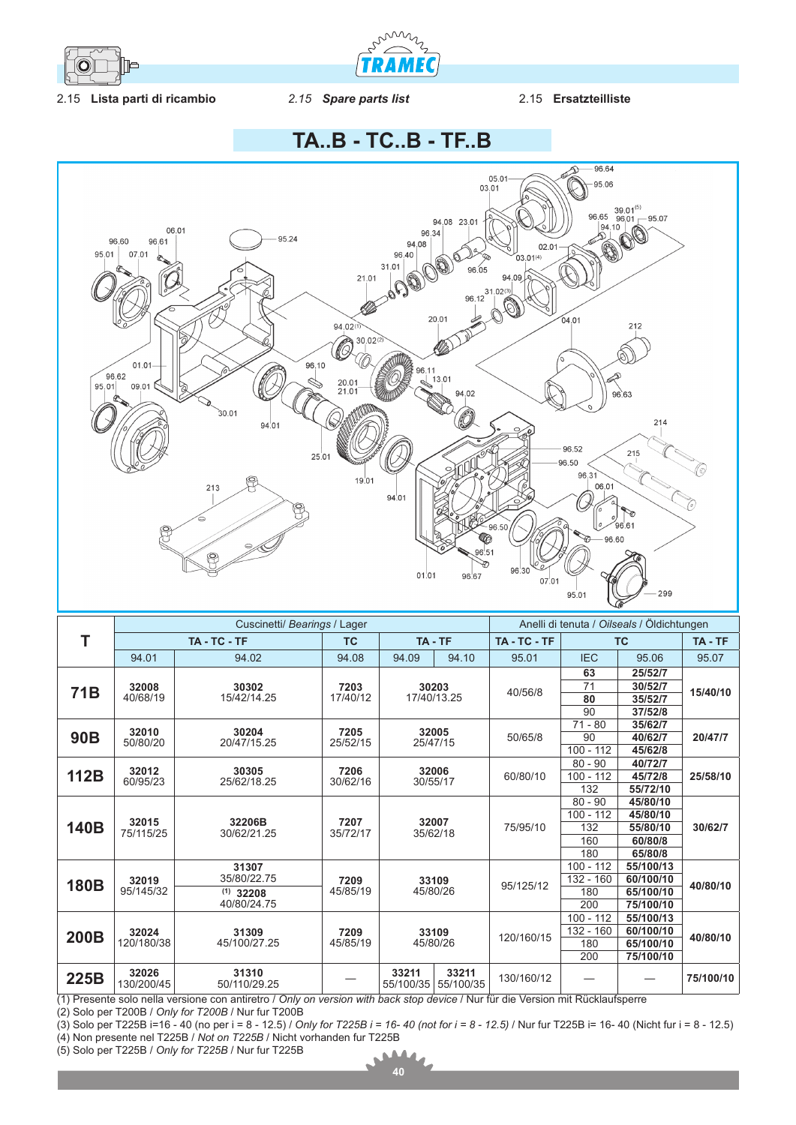

miniz **TRAMEC** 

## 2.15 **Lista parti di ricambio** *2.15 Spare parts list* 2.15 **Ersatzteilliste**

**TA..B - TC..B - TF..B**



|                 | Cuscinetti/ Bearings / Lager |                                                    |                  |                                          |       |            | Anelli di tenuta / Oilseals / Öldichtungen |           |                     |  |
|-----------------|------------------------------|----------------------------------------------------|------------------|------------------------------------------|-------|------------|--------------------------------------------|-----------|---------------------|--|
| Т               | TA-TC-TF                     |                                                    | <b>TC</b>        | TA - TF                                  |       | TA-TC-TF   | <b>TC</b>                                  |           | TA - TF             |  |
|                 | 94.01                        | 94.02                                              | 94.08            | 94.09                                    | 94.10 | 95.01      | <b>IEC</b>                                 | 95.06     | 95.07               |  |
|                 |                              |                                                    |                  |                                          |       |            | 63                                         | 25/52/7   |                     |  |
| 71 <sub>B</sub> | 32008<br>40/68/19            | 30302<br>15/42/14.25                               | 7203<br>17/40/12 | 30203<br>17/40/13.25                     |       | 40/56/8    | 71                                         | 30/52/7   | 15/40/10            |  |
|                 |                              |                                                    |                  |                                          |       |            | 80                                         | 35/52/7   |                     |  |
|                 |                              |                                                    |                  |                                          |       |            | 90                                         | 37/52/8   |                     |  |
|                 | 32010                        | 30204                                              | 7205             |                                          | 32005 |            | $71 - 80$                                  | 35/62/7   | 20/47/7<br>25/58/10 |  |
| <b>90B</b>      | 50/80/20                     | 20/47/15.25                                        | 25/52/15         | 25/47/15                                 |       | 50/65/8    | 90                                         | 40/62/7   |                     |  |
|                 |                              |                                                    |                  |                                          |       |            | $100 - 112$                                | 45/62/8   |                     |  |
|                 | 32012                        | 30305<br>25/62/18.25                               | 7206<br>30/62/16 | 32006<br>30/55/17                        |       | 60/80/10   | $80 - 90$                                  | 40/72/7   |                     |  |
| 112B            | 60/95/23                     |                                                    |                  |                                          |       |            | $100 - 112$                                | 45/72/8   |                     |  |
|                 |                              |                                                    |                  |                                          |       |            | 132                                        | 55/72/10  |                     |  |
| 140B            | 32015<br>75/115/25           | 32206B<br>30/62/21.25                              | 7207<br>35/72/17 | 32007<br>35/62/18                        |       | 75/95/10   | $80 - 90$                                  | 45/80/10  | 30/62/7             |  |
|                 |                              |                                                    |                  |                                          |       |            | $100 - 112$                                | 45/80/10  |                     |  |
|                 |                              |                                                    |                  |                                          |       |            | 132                                        | 55/80/10  |                     |  |
|                 |                              |                                                    |                  |                                          |       |            | 160                                        | 60/80/8   |                     |  |
|                 |                              |                                                    |                  |                                          |       |            | 180                                        | 65/80/8   |                     |  |
|                 |                              | 31307<br>35/80/22.75<br>$(1)$ 32208<br>40/80/24.75 |                  | 33109<br>45/80/26                        |       | 95/125/12  | $100 - 112$                                | 55/100/13 | 40/80/10            |  |
| <b>180B</b>     | 32019<br>95/145/32           |                                                    | 7209<br>45/85/19 |                                          |       |            | $132 - 160$                                | 60/100/10 |                     |  |
|                 |                              |                                                    |                  |                                          |       |            | 180                                        | 65/100/10 |                     |  |
|                 |                              |                                                    |                  |                                          |       |            | 200                                        | 75/100/10 |                     |  |
|                 | 32024<br>120/180/38          | 31309<br>45/100/27.25                              | 7209<br>45/85/19 | 33109<br>45/80/26                        |       | 120/160/15 | $100 - 112$                                | 55/100/13 | 40/80/10            |  |
| 200B            |                              |                                                    |                  |                                          |       |            | $132 - 160$                                | 60/100/10 |                     |  |
|                 |                              |                                                    |                  |                                          |       |            | 180                                        | 65/100/10 |                     |  |
|                 |                              |                                                    |                  |                                          |       |            | 200                                        | 75/100/10 |                     |  |
| 225B            | 32026<br>130/200/45          | 31310<br>50/110/29.25                              |                  | 33211<br>33211<br>55/100/35<br>55/100/35 |       | 130/160/12 |                                            |           | 75/100/10           |  |

(1) Presente solo nella versione con antiretro / *Only on version with back stop device* / Nur für die Version mit Rücklaufsperre

(2) Solo per T200B / *Only for T200B* / Nur fur T200B

(3) Solo per T225B i=16 - 40 (no per i = 8 - 12.5) / *Only for T225B i = 16- 40 (not for i = 8 - 12.5)* / Nur fur T225B i= 16- 40 (Nicht fur i = 8 - 12.5) (4) Non presente nel T225B / *Not on T225B* / Nicht vorhanden fur T225B

(5) Solo per T225B / *Only for T225B* / Nur fur T225B

Ń  $\bullet$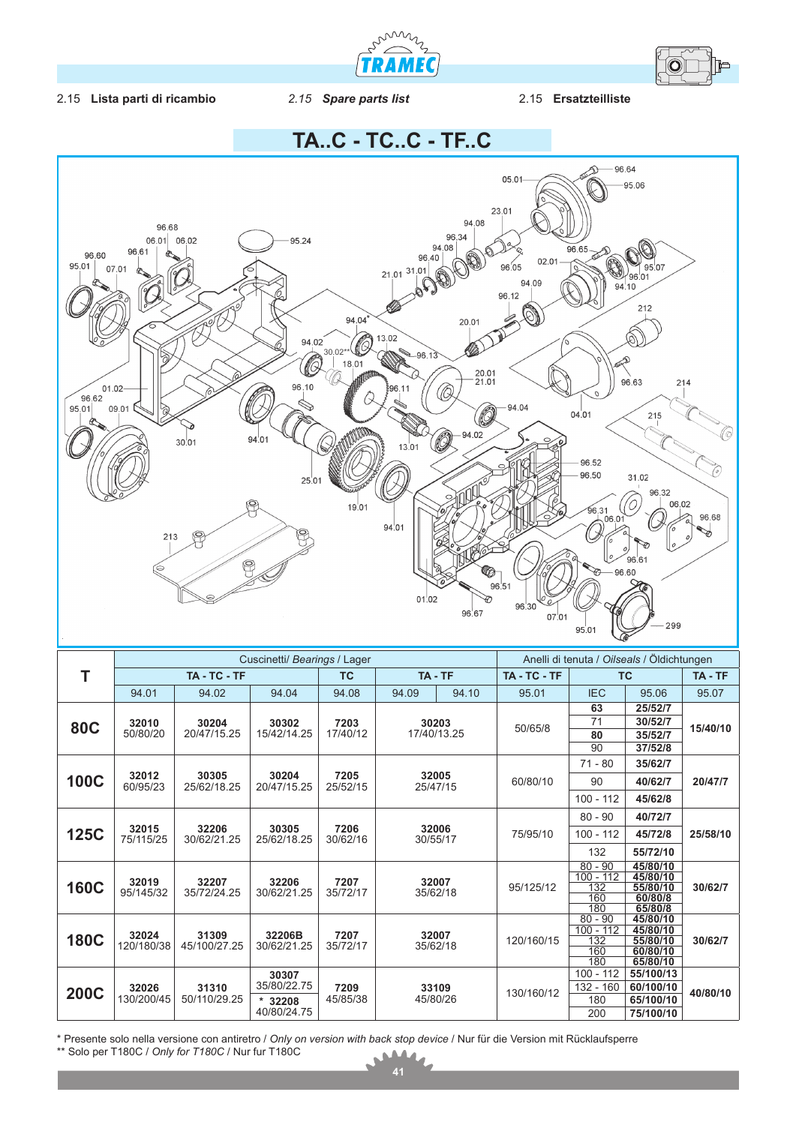



## 2.15 **Lista parti di ricambio** *2.15 Spare parts list* 2.15 **Ersatzteilliste**



\* Presente solo nella versione con antiretro / *Only on version with back stop device* / Nur für die Version mit Rücklaufsperre \*\* Solo per T180C / *Only for T180C* / Nur fur T180C  $\Delta$ 4  $\mathbf{r}$ 

 $\blacksquare$